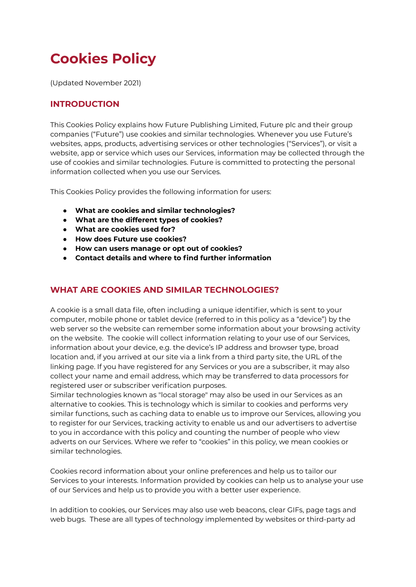# **Cookies Policy**

(Updated November 2021)

# **INTRODUCTION**

This Cookies Policy explains how Future Publishing Limited, Future plc and their group companies ("Future") use cookies and similar technologies. Whenever you use Future's websites, apps, products, advertising services or other technologies ("Services"), or visit a website, app or service which uses our Services, information may be collected through the use of cookies and similar technologies. Future is committed to protecting the personal information collected when you use our Services.

This Cookies Policy provides the following information for users:

- **● What are cookies and similar technologies?**
- **● What are the different types of cookies?**
- **● What are cookies used for?**
- **● How does Future use cookies?**
- **● How can users manage or opt out of cookies?**
- **● Contact details and where to find further information**

# **WHAT ARE COOKIES AND SIMILAR TECHNOLOGIES?**

A cookie is a small data file, often including a unique identifier, which is sent to your computer, mobile phone or tablet device (referred to in this policy as a "device") by the web server so the website can remember some information about your browsing activity on the website. The cookie will collect information relating to your use of our Services, information about your device, e.g. the device's IP address and browser type, broad location and, if you arrived at our site via a link from a third party site, the URL of the linking page. If you have registered for any Services or you are a subscriber, it may also collect your name and email address, which may be transferred to data processors for registered user or subscriber verification purposes.

Similar technologies known as "local storage" may also be used in our Services as an alternative to cookies. This is technology which is similar to cookies and performs very similar functions, such as caching data to enable us to improve our Services, allowing you to register for our Services, tracking activity to enable us and our advertisers to advertise to you in accordance with this policy and counting the number of people who view adverts on our Services. Where we refer to "cookies" in this policy, we mean cookies or similar technologies.

Cookies record information about your online preferences and help us to tailor our Services to your interests. Information provided by cookies can help us to analyse your use of our Services and help us to provide you with a better user experience.

In addition to cookies, our Services may also use web beacons, clear GIFs, page tags and web bugs. These are all types of technology implemented by websites or third-party ad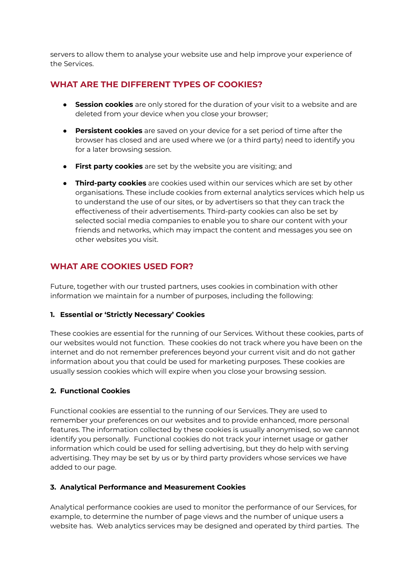servers to allow them to analyse your website use and help improve your experience of the Services.

## **WHAT ARE THE DIFFERENT TYPES OF COOKIES?**

- **Session cookies** are only stored for the duration of your visit to a website and are deleted from your device when you close your browser;
- **Persistent cookies** are saved on your device for a set period of time after the browser has closed and are used where we (or a third party) need to identify you for a later browsing session.
- **First party cookies** are set by the website you are visiting; and
- **Third-party cookies** are cookies used within our services which are set by other organisations. These include cookies from external analytics services which help us to understand the use of our sites, or by advertisers so that they can track the effectiveness of their advertisements. Third-party cookies can also be set by selected social media companies to enable you to share our content with your friends and networks, which may impact the content and messages you see on other websites you visit.

# **WHAT ARE COOKIES USED FOR?**

Future, together with our trusted partners, uses cookies in combination with other information we maintain for a number of purposes, including the following:

#### **1. Essential or 'Strictly Necessary' Cookies**

These cookies are essential for the running of our Services. Without these cookies, parts of our websites would not function. These cookies do not track where you have been on the internet and do not remember preferences beyond your current visit and do not gather information about you that could be used for marketing purposes. These cookies are usually session cookies which will expire when you close your browsing session.

#### **2. Functional Cookies**

Functional cookies are essential to the running of our Services. They are used to remember your preferences on our websites and to provide enhanced, more personal features. The information collected by these cookies is usually anonymised, so we cannot identify you personally. Functional cookies do not track your internet usage or gather information which could be used for selling advertising, but they do help with serving advertising. They may be set by us or by third party providers whose services we have added to our page.

#### **3. Analytical Performance and Measurement Cookies**

Analytical performance cookies are used to monitor the performance of our Services, for example, to determine the number of page views and the number of unique users a website has. Web analytics services may be designed and operated by third parties. The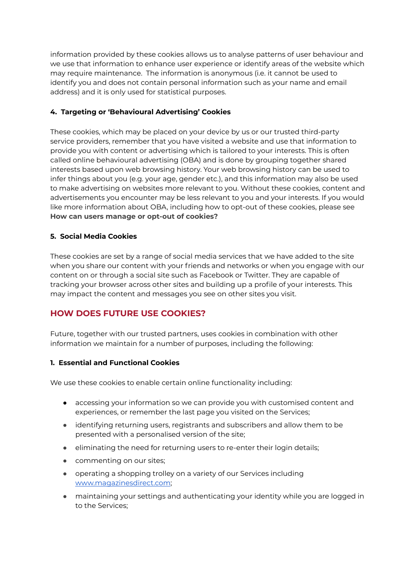information provided by these cookies allows us to analyse patterns of user behaviour and we use that information to enhance user experience or identify areas of the website which may require maintenance. The information is anonymous (i.e. it cannot be used to identify you and does not contain personal information such as your name and email address) and it is only used for statistical purposes.

## **4. Targeting or 'Behavioural Advertising' Cookies**

These cookies, which may be placed on your device by us or our trusted third-party service providers, remember that you have visited a website and use that information to provide you with content or advertising which is tailored to your interests. This is often called online behavioural advertising (OBA) and is done by grouping together shared interests based upon web browsing history. Your web browsing history can be used to infer things about you (e.g. your age, gender etc.), and this information may also be used to make advertising on websites more relevant to you. Without these cookies, content and advertisements you encounter may be less relevant to you and your interests. If you would like more information about OBA, including how to opt-out of these cookies, please see **How can users manage or opt-out of cookies?**

## **5. Social Media Cookies**

These cookies are set by a range of social media services that we have added to the site when you share our content with your friends and networks or when you engage with our content on or through a social site such as Facebook or Twitter. They are capable of tracking your browser across other sites and building up a profile of your interests. This may impact the content and messages you see on other sites you visit.

# **HOW DOES FUTURE USE COOKIES?**

Future, together with our trusted partners, uses cookies in combination with other information we maintain for a number of purposes, including the following:

#### **1. Essential and Functional Cookies**

We use these cookies to enable certain online functionality including:

- accessing your information so we can provide you with customised content and experiences, or remember the last page you visited on the Services;
- identifying returning users, registrants and subscribers and allow them to be presented with a personalised version of the site;
- eliminating the need for returning users to re-enter their login details;
- commenting on our sites;
- operating a shopping trolley on a variety of our Services including [www.magazinesdirect.com](https://www.magazinesdirect.com/);
- maintaining your settings and authenticating your identity while you are logged in to the Services;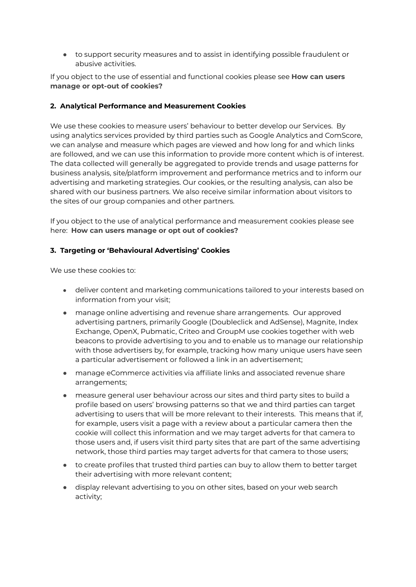● to support security measures and to assist in identifying possible fraudulent or abusive activities.

If you object to the use of essential and functional cookies please see **How can users manage or opt-out of cookies?**

#### **2. Analytical Performance and Measurement Cookies**

We use these cookies to measure users' behaviour to better develop our Services. By using analytics services provided by third parties such as Google Analytics and ComScore, we can analyse and measure which pages are viewed and how long for and which links are followed, and we can use this information to provide more content which is of interest. The data collected will generally be aggregated to provide trends and usage patterns for business analysis, site/platform improvement and performance metrics and to inform our advertising and marketing strategies. Our cookies, or the resulting analysis, can also be shared with our business partners. We also receive similar information about visitors to the sites of our group companies and other partners.

If you object to the use of analytical performance and measurement cookies please see here: **How can users manage or opt out of cookies?**

#### **3. Targeting or 'Behavioural Advertising' Cookies**

We use these cookies to:

- deliver content and marketing communications tailored to your interests based on information from your visit;
- manage online advertising and revenue share arrangements. Our approved advertising partners, primarily Google (Doubleclick and AdSense), Magnite, Index Exchange, OpenX, Pubmatic, Criteo and GroupM use cookies together with web beacons to provide advertising to you and to enable us to manage our relationship with those advertisers by, for example, tracking how many unique users have seen a particular advertisement or followed a link in an advertisement;
- manage eCommerce activities via affiliate links and associated revenue share arrangements;
- measure general user behaviour across our sites and third party sites to build a profile based on users' browsing patterns so that we and third parties can target advertising to users that will be more relevant to their interests. This means that if, for example, users visit a page with a review about a particular camera then the cookie will collect this information and we may target adverts for that camera to those users and, if users visit third party sites that are part of the same advertising network, those third parties may target adverts for that camera to those users;
- to create profiles that trusted third parties can buy to allow them to better target their advertising with more relevant content;
- display relevant advertising to you on other sites, based on your web search activity;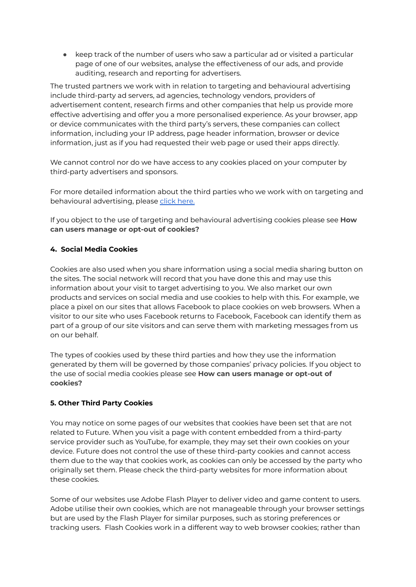● keep track of the number of users who saw a particular ad or visited a particular page of one of our websites, analyse the effectiveness of our ads, and provide auditing, research and reporting for advertisers.

The trusted partners we work with in relation to targeting and behavioural advertising include third-party ad servers, ad agencies, technology vendors, providers of advertisement content, research firms and other companies that help us provide more effective advertising and offer you a more personalised experience. As your browser, app or device communicates with the third party's servers, these companies can collect information, including your IP address, page header information, browser or device information, just as if you had requested their web page or used their apps directly.

We cannot control nor do we have access to any cookies placed on your computer by third-party advertisers and sponsors.

For more detailed information about the third parties who we work with on targeting and behavioural advertising, please click [here.](https://www.futureplc.com/third-party-cookies/)

If you object to the use of targeting and behavioural advertising cookies please see **How can users manage or opt-out of cookies?**

## **4. Social Media Cookies**

Cookies are also used when you share information using a social media sharing button on the sites. The social network will record that you have done this and may use this information about your visit to target advertising to you. We also market our own products and services on social media and use cookies to help with this. For example, we place a pixel on our sites that allows Facebook to place cookies on web browsers. When a visitor to our site who uses Facebook returns to Facebook, Facebook can identify them as part of a group of our site visitors and can serve them with marketing messages from us on our behalf.

The types of cookies used by these third parties and how they use the information generated by them will be governed by those companies' privacy policies. If you object to the use of social media cookies please see **How can users manage or opt-out of cookies?**

#### **5. Other Third Party Cookies**

You may notice on some pages of our websites that cookies have been set that are not related to Future. When you visit a page with content embedded from a third-party service provider such as YouTube, for example, they may set their own cookies on your device. Future does not control the use of these third-party cookies and cannot access them due to the way that cookies work, as cookies can only be accessed by the party who originally set them. Please check the third-party websites for more information about these cookies.

Some of our websites use Adobe Flash Player to deliver video and game content to users. Adobe utilise their own cookies, which are not manageable through your browser settings but are used by the Flash Player for similar purposes, such as storing preferences or tracking users. Flash Cookies work in a different way to web browser cookies; rather than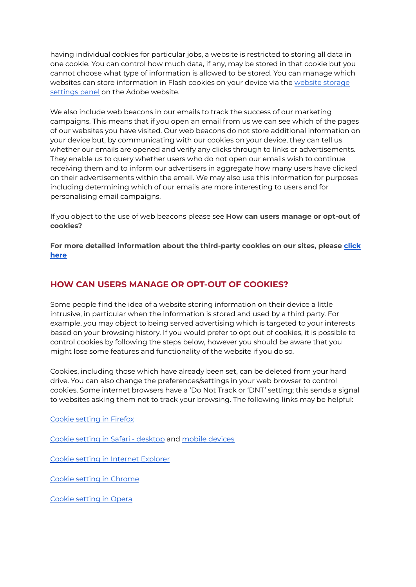having individual cookies for particular jobs, a website is restricted to storing all data in one cookie. You can control how much data, if any, may be stored in that cookie but you cannot choose what type of information is allowed to be stored. You can manage which [website](http://www.macromedia.com/support/documentation/en/flashplayer/help/settings_manager07.html)s can store information in Flash cookies on your device via the website storage [settings](http://www.macromedia.com/support/documentation/en/flashplayer/help/settings_manager07.html) panel on the Adobe website.

We also include web beacons in our emails to track the success of our marketing campaigns. This means that if you open an email from us we can see which of the pages of our websites you have visited. Our web beacons do not store additional information on your device but, by communicating with our cookies on your device, they can tell us whether our emails are opened and verify any clicks through to links or advertisements. They enable us to query whether users who do not open our emails wish to continue receiving them and to inform our advertisers in aggregate how many users have clicked on their advertisements within the email. We may also use this information for purposes including determining which of our emails are more interesting to users and for personalising email campaigns.

If you object to the use of web beacons please see **How can users manage or opt-out of cookies?**

**For more detailed information about the third-party cookies on our sites, please [click](https://www.futureplc.com/third-party-cookies/) [here](https://www.futureplc.com/third-party-cookies/)**

## **HOW CAN USERS MANAGE OR OPT-OUT OF COOKIES?**

Some people find the idea of a website storing information on their device a little intrusive, in particular when the information is stored and used by a third party. For example, you may object to being served advertising which is targeted to your interests based on your browsing history. If you would prefer to opt out of cookies, it is possible to control cookies by following the steps below, however you should be aware that you might lose some features and functionality of the website if you do so.

Cookies, including those which have already been set, can be deleted from your hard drive. You can also change the preferences/settings in your web browser to control cookies. Some internet browsers have a 'Do Not Track or 'DNT' setting; this sends a signal to websites asking them not to track your browsing. The following links may be helpful:

Cookie [setting](https://support.mozilla.org/en-US/kb/cookies-information-websites-store-on-your-computer?redirectlocale=en-US&redirectslug=Cookies) in Firefox

Cookie setting in Safari - [desktop](https://support.apple.com/en-gb/guide/safari/sfri11471/mac) and mobile [devices](https://support.apple.com/en-gb/HT201265)

Cookie setting in Internet [Explorer](https://support.microsoft.com/en-gb/windows/delete-and-manage-cookies-168dab11-0753-043d-7c16-ede5947fc64d#ie=ie-10)

Cookie setting in [Chrome](https://support.google.com/chrome/answer/95647?hl=en&ref_topic=14666)

Cookie [setting](https://help.opera.com/en/latest/web-preferences/) in Opera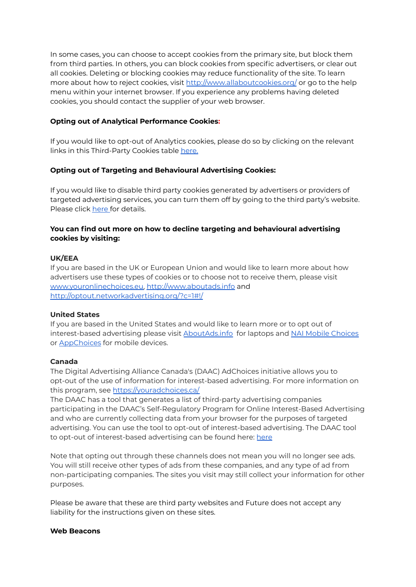In some cases, you can choose to accept cookies from the primary site, but block them from third parties. In others, you can block cookies from specific advertisers, or clear out all cookies. Deleting or blocking cookies may reduce functionality of the site. To learn more about how to reject cookies, visit <http://www.allaboutcookies.org/> or go to the help menu within your internet browser. If you experience any problems having deleted cookies, you should contact the supplier of your web browser.

#### **Opting out of Analytical Performance Cookies:**

If you would like to opt-out of Analytics cookies, please do so by clicking on the relevant links in this Third-Party Cookies table [here.](https://www.futureplc.com/third-party-cookies/)

#### **Opting out of Targeting and Behavioural Advertising Cookies:**

If you would like to disable third party cookies generated by advertisers or providers of targeted advertising services, you can turn them off by going to the third party's website. Please click [here](https://www.futureplc.com/third-party-cookies/) [f](https://www.futureplc.com/cookies-policy/third-party-cookies/)or details.

## **You can find out more on how to decline targeting and behavioural advertising cookies by visiting:**

#### **UK/EEA**

If you are based in the UK or European Union and would like to learn more about how advertisers use these types of cookies or to choose not to receive them, please visit [www.youronlinechoices.eu,](http://www.youronlinechoices.eu/) <http://www.aboutads.info> and <http://optout.networkadvertising.org/?c=1#!/>

#### **United States**

If you are based in the United States and would like to learn more or to opt out of interest-based advertising please visit **[AboutAds.info](http://optout.aboutads.info/?c=2&lang=EN)** for laptops and NAI Mobile [Choices](https://www.networkadvertising.org/mobile-choice/) or [AppChoices](https://youradchoices.com/appchoices) for mobile devices.

#### **Canada**

The Digital Advertising Alliance Canada's (DAAC) AdChoices initiative allows you to opt-out of the use of information for interest-based advertising. For more information on this program, see <https://youradchoices.ca/>

The DAAC has a tool that generates a list of third-party advertising companies participating in the DAAC's Self-Regulatory Program for Online Interest-Based Advertising and who are currently collecting data from your browser for the purposes of targeted advertising. You can use the tool to opt-out of interest-based advertising. The DAAC tool to opt-out of interest-based advertising can be found [here](http://optout.aboutads.info/?c=3&lang=en): here

Note that opting out through these channels does not mean you will no longer see ads. You will still receive other types of ads from these companies, and any type of ad from non-participating companies. The sites you visit may still collect your information for other purposes.

Please be aware that these are third party websites and Future does not accept any liability for the instructions given on these sites.

#### **Web Beacons**